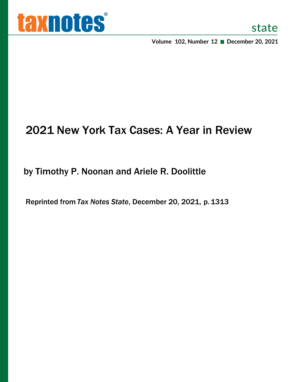

**Volume 102, Number 12 December 20, 2021**

# 2021 New York Tax Cases: A Year in Review

### by Timothy P. Noonan and Ariele R. Doolittle

Reprinted from *Tax Notes State*, December 20, 2021, p.1313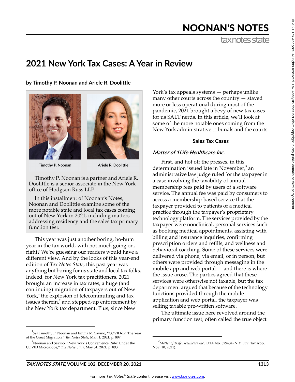# NOONAN'S NOTES

tax notes state

## **2021 New York Tax Cases: A Year in Review**

**by Timothy P. Noonan and Ariele R. Doolittle**

some of the more notable ones coming from the New York administrative tribunals and the courts. **Sales Tax Cases**

### **Matter of 1Life Healthcare Inc.**

York's tax appeals systems — perhaps unlike many other courts across the country — stayed more or less operational during most of the pandemic, 2021 brought a bevy of new tax cases for us SALT nerds. In this article, we'll look at

First, and hot off the presses, in this determination issued late in November,<sup>3</sup> an administrative law judge ruled for the taxpayer in a case involving the taxability of annual membership fees paid by users of a software service. The annual fee was paid by consumers to access a membership-based service that the taxpayer provided to patients of a medical practice through the taxpayer's proprietary technology platform. The services provided by the taxpayer were nonclinical, personal services such as booking medical appointments, assisting with billing and insurance inquiries, confirming prescription orders and refills, and wellness and behavioral coaching. Some of these services were delivered via phone, via email, or in person, but others were provided through messaging in the mobile app and web portal — and there is where the issue arose. The parties agreed that these services were otherwise not taxable, but the tax department argued that because of the technology functions provided through the mobile application and web portal, the taxpayer was selling taxable pre-written software.

The ultimate issue here revolved around the primary function test, often called the true object

Timothy P. Noonan

Ariele R. Doolittle

Timothy P. Noonan is a partner and Ariele R. Doolittle is a senior associate in the New York office of Hodgson Russ LLP.

In this installment of Noonan's Notes, Noonan and Doolittle examine some of the more notable state and local tax cases coming out of New York in 2021, including matters addressing residency and the sales tax primary function test.

This year was just another boring, ho-hum year in the tax world, with not much going on, right? We're guessing our readers would have a different view. And by the looks of this year-end edition of *Tax Notes State*, this past year was anything but boring for us state and local tax folks. Indeed, for New York tax practitioners, 2021 brought an increase in tax rates, a huge (and continuing) migration of taxpayers out of New York, $^1$  the explosion of telecommuting and tax issues therein, $\lambda^2$  and stepped-up enforcement by the New York tax department. Plus, since New

1 *See* Timothy P. Noonan and Emma M. Savino, "COVID-19: The Year of the Great Migration," *Tax Notes State*, Mar. 1, 2021, p. 897.







<sup>&</sup>lt;sup>3</sup><br>Matter of 1Life Healthcare Inc., DTA No. 829434 (N.Y. Div. Tax App., Nov. 10, 2021).

<sup>2</sup> Noonan and Savino, "New York's Convenience Rule: Under the COVID Microscope," *Tax Notes State*, May 31, 2021, p. 893.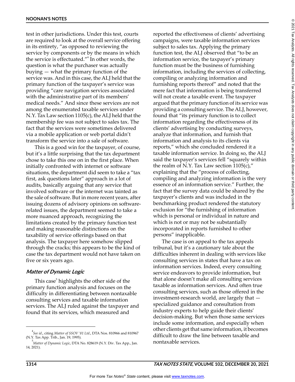test in other jurisdictions. Under this test, courts are required to look at the overall service offering in its entirety, "as opposed to reviewing the service by components or by the means in which the service is effectuated."4 In other words, the question is what the purchaser was actually buying — what the primary function of the service was. And in this case, the ALJ held that the primary function of the taxpayer's service was providing "care navigation services associated with the administrative part of its members' medical needs." And since these services are not among the enumerated taxable services under N.Y. Tax Law section 1105(c), the ALJ held that the membership fee was not subject to sales tax. The fact that the services were sometimes delivered via a mobile application or web portal didn't transform the service into a sale of software.

This is a good win for the taxpayer, of course, but it's a little surprising that the tax department chose to take this one on in the first place. When initially confronted with internet or software situations, the department did seem to take a "tax first, ask questions later" approach in a lot of audits, basically arguing that any service that involved software or the internet was tainted as the sale of software. But in more recent years, after issuing dozens of advisory opinions on softwarerelated issues, the department seemed to take a more nuanced approach, recognizing the limitations created by the primary function test and making reasonable distinctions on the taxability of service offerings based on that analysis. The taxpayer here somehow slipped through the cracks; this appears to be the kind of case the tax department would not have taken on five or six years ago.

#### **Matter of Dynamic Logic**

This case<sup>5</sup> highlights the other side of the primary function analysis and focuses on the difficulty in differentiating between nontaxable consulting services and taxable information services. The ALJ ruled against the taxpayer and found that its services, which measured and

reported the effectiveness of clients' advertising campaigns, were taxable information services subject to sales tax. Applying the primary function test, the ALJ observed that "to be an information service, the taxpayer's primary function must be the business of furnishing information, including the services of collecting, compiling or analyzing information and furnishing reports thereof" and noted that the mere fact that information is being transferred will not create a taxable event. The taxpayer argued that the primary function of its service was providing a consulting service. The ALJ, however, found that "its primary function is to collect information regarding the effectiveness of its clients' advertising by conducting surveys, analyze that information, and furnish that information and analysis to its clients via reports," which she concluded rendered it a taxable information service. In doing so, the ALJ said the taxpayer's services fell "squarely within the realm of N.Y. Tax Law section  $1105(c)$ ," explaining that the "process of collecting, compiling and analyzing information is the very essence of an information service." Further, the fact that the survey data could be shared by the taxpayer's clients and was included in the benchmarking product rendered the statutory exclusion for "the furnishing of information which is personal or individual in nature and which is not or may not be substantially incorporated in reports furnished to other persons" inapplicable.

The case is on appeal to the tax appeals tribunal, but it's a cautionary tale about the difficulties inherent in dealing with services like consulting services in states that have a tax on information services. Indeed, every consulting service endeavors to provide information, but that alone doesn't make all consulting services taxable as information services. And often true consulting services, such as those offered in the investment-research world, are largely that specialized guidance and consultation from industry experts to help guide their clients' decision-making. But when those same services include some information, and especially when other clients get that same information, it becomes difficult to draw the line between taxable and nontaxable services.

<sup>4</sup> *See id*., citing *Matter of SSOV '81 Ltd*., DTA Nos. 810966 and 810967 (N.Y. Tax App. Trib., Jan. 19, 1995).

<sup>5</sup> *Matter of Dynamic Logic*, DTA No. 828619 (N.Y. Div. Tax App., Jan. 14, 2021).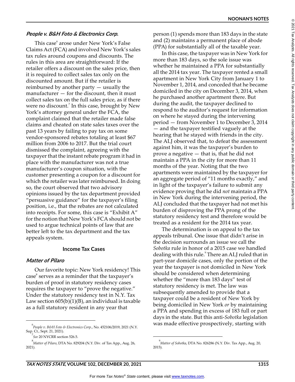### **People v. B&H Foto & Electronics Corp.**

This case<sup>6</sup> arose under New York's False Claims Act (FCA) and involved New York's sales tax rules around coupons and discounts. The rules in this area are straightforward: If the retailer offers a discount on the sales price, then it is required to collect sales tax only on the discounted amount. But if the retailer is reimbursed by another party — usually the manufacturer  $-$  for the discount, then it must collect sales tax on the full sales price, as if there were no discount.<sup>7</sup> In this case, brought by New York's attorney general under the FCA, the complaint claimed that the retailer made false claims and cheated on state sales taxes over the past 13 years by failing to pay tax on some vendor-sponsored rebates totaling at least \$67 million from 2006 to 2017. But the trial court dismissed the complaint, agreeing with the taxpayer that the instant rebate program it had in place with the manufacturer was not a true manufacturer's coupon situation, with the customer presenting a coupon for a discount for which the retailer was later reimbursed. In doing so, the court observed that two advisory opinions issued by the tax department provided "persuasive guidance" for the taxpayer's filing position, i.e., that the rebates are not calculated into receipts. For some, this case is "Exhibit A" for the notion that New York's FCA should not be used to argue technical points of law that are better left to the tax department and the tax appeals system.

#### **Income Tax Cases**

#### **Matter of Pilaro**

Our favorite topic: New York residency! This case $^8$  serves as a reminder that the taxpayer's burden of proof in statutory residency cases requires the taxpayer to "prove the negative." Under the statutory residency test in N.Y. Tax Law section  $605(b)(1)(B)$ , an individual is taxable as a full statutory resident in any year that

person (1) spends more than 183 days in the state and (2) maintains a permanent place of abode (PPA) for substantially all of the taxable year.

In this case, the taxpayer was in New York for more than 183 days, so the sole issue was whether he maintained a PPA for substantially all the 2014 tax year. The taxpayer rented a small apartment in New York City from January 1 to November 1, 2014, and conceded that he became domiciled in the city on December 3, 2014, when he purchased another apartment there. But during the audit, the taxpayer declined to respond to the auditor's request for information on where he stayed during the intervening period — from November 1 to December 3, 2014 — and the taxpayer testified vaguely at the hearing that he stayed with friends in the city. The ALJ observed that, to defeat the assessment against him, it was the taxpayer's burden to prove a negative — that is, that he did not maintain a PPA in the city for more than 11 months of the year. Noting that the two apartments were maintained by the taxpayer for an aggregate period of "11 months exactly," and in light of the taxpayer's failure to submit any evidence proving that he did *not* maintain a PPA in New York during the intervening period, the ALJ concluded that the taxpayer had not met his burden of disproving the PPA prong of the statutory residency test and therefore would be treated as a resident for the 2014 tax year.

The determination is on appeal to the tax appeals tribunal. One issue that didn't arise in the decision surrounds an issue we call the *Sobotka* rule in honor of a 2015 case we handled dealing with this rule.<sup>9</sup> There an ALJ ruled that in part-year domicile cases, only the portion of the year the taxpayer is not domiciled in New York should be considered when determining whether the "more than 183 days" test of statutory residency is met. The law was subsequently amended to provide that a taxpayer could be a resident of New York by being domiciled in New York *or* by maintaining a PPA and spending in excess of 183 full or part days in the state. But this anti-*Sobotka* legislation <sup>6</sup> was made effective prospectively, starting with *People v. B&H Foto & Electronics Corp.*, No. 452106/2019, 2021 (N.Y.

Sup. Ct., Sept. 21, 2021).

<sup>7</sup> *See* 20 NYCRR section 526.5.

<sup>8</sup> *Matter of Pilaro*, DTA No. 829204 (N.Y. Div. of Tax App., Aug. 26, 2021).

<sup>9</sup> *Matter of Sobotka*, DTA No. 826286 (N.Y. Div. Tax App., Aug. 20, 2015).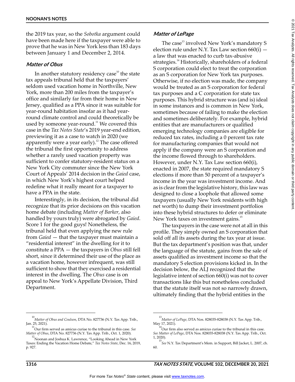the 2019 tax year, so the *Sobotka* argument could have been made here if the taxpayer were able to prove that he was in New York less than 183 days between January 1 and December 2, 2014.

#### **Matter of Obus**

In another statutory residency case $10$ <sup>th</sup> the state tax appeals tribunal held that the taxpayers' seldom used vacation home in Northville, New York, more than 200 miles from the taxpayer's office and similarly far from their home in New Jersey, qualified as a PPA since it was suitable for year-round habitation insofar as it had yearround climate control and could theoretically be used by someone year-round.<sup>11</sup> We covered this case in the *Tax Notes State*'s 2019 year-end edition, previewing it as a case to watch in 2020 (we apparently were a year early).<sup>12</sup> The case offered the tribunal the first opportunity to address whether a rarely used vacation property was sufficient to confer statutory-resident status on a New York City commuter since the New York Court of Appeals' 2014 decision in the *Gaied* case, in which New York's highest court helped redefine what it really meant for a taxpayer to have a PPA in the state.

Interestingly, in its decision, the tribunal did recognize that its prior decisions on this vacation home debate (including *Matter of Barker*, also handled by yours truly) were abrogated by *Gaied*. Score 1 for the good guys! Nonetheless, the tribunal held that even applying the new rule from *Gaied* — that the taxpayer must maintain a "residential interest" in the dwelling for it to constitute a PPA — the taxpayers in *Obus* still fell short, since it determined their use of the place as a vacation home, however infrequent, was still sufficient to show that they exercised a residential interest in the dwelling. The *Obus* case is on appeal to New York's Appellate Division, Third Department.

### **Matter of LePage**

The case<sup>13</sup> involved New York's mandatory S election rule under N.Y. Tax Law section  $660(i)$  a law that was enacted to curb tax-abusive strategies.<sup>14</sup> Historically, shareholders of a federal S corporation could elect to treat the corporation as an S corporation for New York tax purposes. Otherwise, if no election was made, the company would be treated as an S corporation for federal tax purposes and a C corporation for state tax purposes. This hybrid structure was (and is) ideal in some instances and is common in New York, sometimes because of failing to make the election and sometimes deliberately. For example, hybrid entities that are manufacturers or qualified emerging technology companies are eligible for reduced tax rates, including a 0 percent tax rate for manufacturing companies that would not apply if the company were an S corporation and the income flowed through to shareholders. However, under N.Y. Tax Law section 660(i), enacted in 2007, the state required mandatory S elections if more than 50 percent of a taxpayer's income in the year was investment income. And as is clear from the legislative history, this law was designed to close a loophole that allowed some taxpayers (usually New York residents with high net worth) to dump their investment portfolios into these hybrid structures to defer or eliminate New York taxes on investment gains.<sup>15</sup>

The taxpayers in the case were not at all in this profile. They simply owned an S corporation that sold off all its assets during the tax year at issue. But the tax department's position was that, under the language of the statute, gains from the sale of assets qualified as investment income so that the mandatory S election provisions kicked in. In the decision below, the ALJ recognized that the legislative intent of section 660(i) was not to cover transactions like this but nonetheless concluded that the statute itself was not so narrowly drawn, ultimately finding that the hybrid entities in the

 $^{\circ}$ 

<sup>10</sup> *Matter of Obus and Coulson*, DTA No. 827736 (N.Y. Tax App. Trib., Jan. 25, 2021). 11

Our firm served as amicus curiae to the tribunal in this case. *See Matter of Obus*, DTA No. 827736 (N.Y. Tax App. Trib., Oct. 1, 2020).

 $^{12}$ Noonan and Joshua K. Lawrence, "Looking Ahead in New York Taxes: Ending the Vacation Home Debate," *Tax Notes State*, Dec. 16, 2019, p. 927.

<sup>13</sup> *Matter of LePage*, DTA Nos. 828035-828038 (N.Y. Tax App. Trib., May 17, 2021).

Our firm also served as amicus curiae to the tribunal in this case. *See Matter of LePage*, DTA Nos. 828035-828038 (N.Y. Tax App. Trib., Oct. 1, 2020).

<sup>15</sup> *See* N.Y. Tax Department's Mem. in Support, Bill Jacket, L. 2007, ch. 60.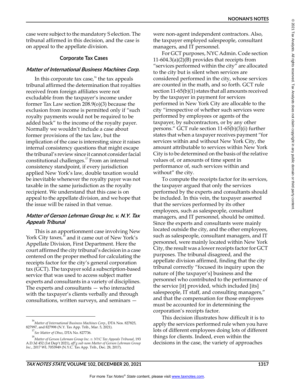case were subject to the mandatory S election. The tribunal affirmed in this decision, and the case is on appeal to the appellate division.

#### **Corporate Tax Cases**

#### **Matter of International Business Machines Corp.**

In this corporate tax case, $16$  the tax appeals tribunal affirmed the determination that royalties received from foreign affiliates were not excludable from the taxpayer's income under former Tax Law section 208.9(o)(3) because the exclusion from income is permitted only if "such royalty payments would not be required to be added back" to the income of the royalty payer. Normally we wouldn't include a case about former provisions of the tax law, but the implication of the case is interesting since it raises internal consistency questions that might escape the tribunal's review since it cannot consider facial constitutional challenges.17 From an internal consistency standpoint, if every jurisdiction applied New York's law, double taxation would be inevitable whenever the royalty payer was not taxable in the same jurisdiction as the royalty recipient. We understand that this case is on appeal to the appellate division, and we hope that the issue will be raised in that venue.

#### **Matter of Gerson Lehrman Group Inc. v. N.Y. Tax Appeals Tribunal**

This is an apportionment case involving New York City taxes,<sup>18</sup> and it came out of New York's Appellate Division, First Department. Here the court affirmed the city tribunal's decision in a case centered on the proper method for calculating the receipts factor for the city's general corporation tax (GCT). The taxpayer sold a subscription-based service that was used to access subject matter experts and consultants in a variety of disciplines. The experts and consultants — who interacted with the taxpayer's clients verbally and through consultations, written surveys, and seminars —

were non-agent independent contractors. Also, the taxpayer employed salespeople, consultant managers, and IT personnel.

For GCT purposes, NYC Admin. Code section 11-604.3(a)(2)(B) provides that receipts from "services performed within the city" are allocated to the city but is silent when services are considered performed in the city, whose services are counted in the math, and so forth. GCT rule section 11-65(b)(1) states that all amounts received by the taxpayer in payment for services performed in New York City are allocable to the city "irrespective of whether such services were performed by employees or agents of the taxpayer, by subcontractors, or by any other persons." GCT rule section 11-65(b)(3)(i) further states that when a taxpayer receives payment "for services within and without New York City, the amount attributable to services within New York City is to be determined on the basis of the relative values of, or amounts of time spent in performance of, such services within and without" the city.

To compute the receipts factor for its services, the taxpayer argued that only the services performed by the experts and consultants should be included. In this vein, the taxpayer asserted that the services performed by its other employees, such as salespeople, consultant managers, and IT personnel, should be omitted. Since the experts and consultants were mainly located outside the city, and the other employees, such as salespeople, consultant managers, and IT personnel, were mainly located within New York City, the result was a lower receipts factor for GCT purposes. The tribunal disagreed, and the appellate division affirmed, finding that the city tribunal correctly "focused its inquiry upon the nature of [the taxpayer's] business and the personnel who contributed to the performance of the service [it] provided, which included [its] salespeople, IT staff, and consulting managers," and that the compensation for those employees must be accounted for in determining the corporation's receipts factor.

This decision illustrates how difficult it is to apply the services performed rule when you have lots of different employees doing lots of different things for clients. Indeed, even within the decisions in the case, the variety of approaches

<sup>16</sup> *Matter of International Business Machines Corp.*, DTA Nos. 827825, 827997, and 827998 (N.Y. Tax App. Trib., Mar. 5, 2021).

<sup>17</sup> *See Matter of Obus*, DTA No. 827736.

<sup>18</sup> *Matter of Gerson Lehrman Group Inc. v. NYC Tax Appeals Tribunal*, 193 A.D.3d 452 (1st Dep't 2021), *aff'g sub nom Matter of Gerson Lehrman Group Inc.*, 2017 WL 7053949 (N.Y.C. Tax App. Trib., Dec. 28, 2017).